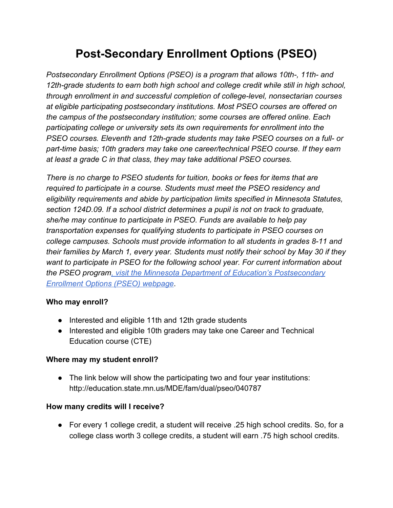# **Post-Secondary Enrollment Options (PSEO)**

*Postsecondary Enrollment Options (PSEO) is a program that allows 10th-, 11th- and 12th-grade students to earn both high school and college credit while still in high school, through enrollment in and successful completion of college-level, nonsectarian courses at eligible participating postsecondary institutions. Most PSEO courses are offered on the campus of the postsecondary institution; some courses are offered online. Each participating college or university sets its own requirements for enrollment into the PSEO courses. Eleventh and 12th-grade students may take PSEO courses on a full- or part-time basis; 10th graders may take one career/technical PSEO course. If they earn at least a grade C in that class, they may take additional PSEO courses.*

*There is no charge to PSEO students for tuition, books or fees for items that are required to participate in a course. Students must meet the PSEO residency and eligibility requirements and abide by participation limits specified in Minnesota Statutes, section 124D.09. If a school district determines a pupil is not on track to graduate, she/he may continue to participate in PSEO. Funds are available to help pay transportation expenses for qualifying students to participate in PSEO courses on college campuses. Schools must provide information to all students in grades 8-11 and their families by March 1, every year. Students must notify their school by May 30 if they want to participate in PSEO for the following school year. For current information about the PSEO progra[m, visit the Minnesota Department of Education's Postsecondary](http://education.state.mn.us/MDE/fam/dual/pseo/) [Enrollment Options \(PSEO\) webpage](http://education.state.mn.us/MDE/fam/dual/pseo/)*.

#### **Who may enroll?**

- Interested and eligible 11th and 12th grade students
- Interested and eligible 10th graders may take one Career and Technical Education course (CTE)

#### **Where may my student enroll?**

• The link below will show the participating two and four year institutions: http://education.state.mn.us/MDE/fam/dual/pseo/040787

#### **How many credits will I receive?**

● For every 1 college credit, a student will receive .25 high school credits. So, for a college class worth 3 college credits, a student will earn .75 high school credits.